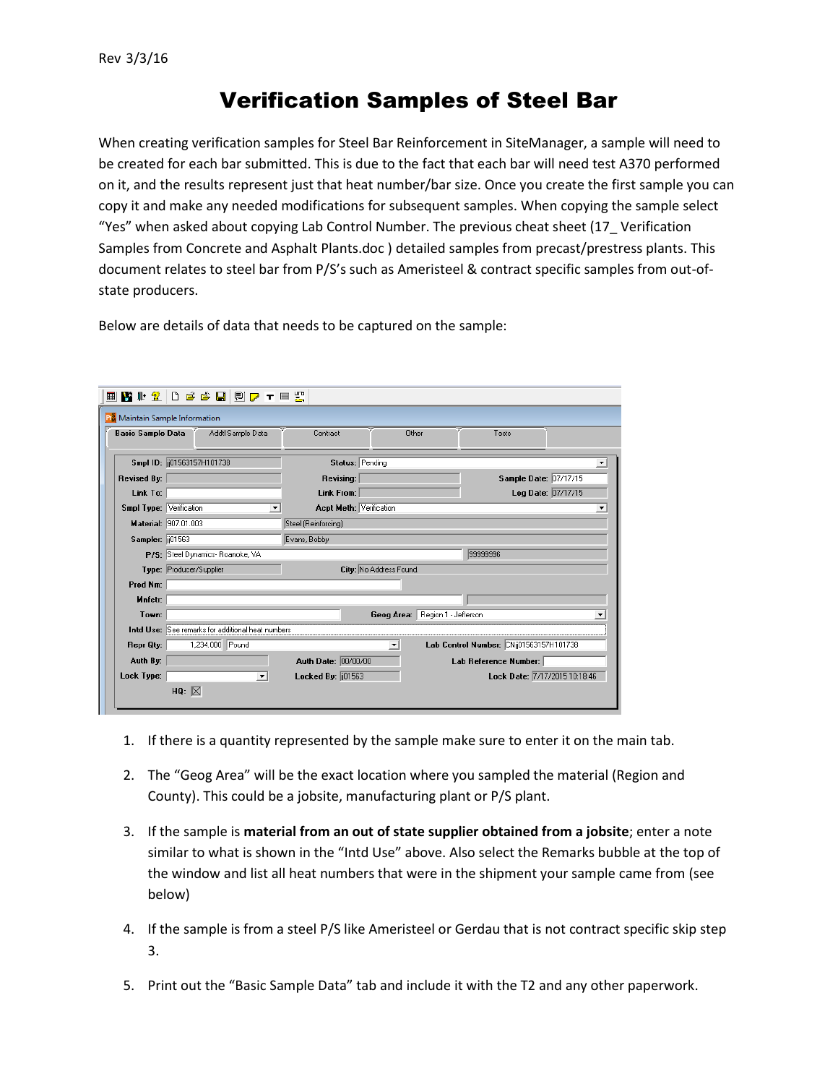## Verification Samples of Steel Bar

When creating verification samples for Steel Bar Reinforcement in SiteManager, a sample will need to be created for each bar submitted. This is due to the fact that each bar will need test A370 performed on it, and the results represent just that heat number/bar size. Once you create the first sample you can copy it and make any needed modifications for subsequent samples. When copying the sample select "Yes" when asked about copying Lab Control Number. The previous cheat sheet (17\_ Verification Samples from Concrete and Asphalt Plants.doc ) detailed samples from precast/prestress plants. This document relates to steel bar from P/S's such as Ameristeel & contract specific samples from out-ofstate producers.

Below are details of data that needs to be captured on the sample:

| <b>h</b> <sup>§</sup> Maintain Sample Information                            |                    |  |  |  |  |  |  |  |
|------------------------------------------------------------------------------|--------------------|--|--|--|--|--|--|--|
| <b>Basic Sample Data</b><br>Addtl Sample Data<br>Contract<br>Other<br>Tests  |                    |  |  |  |  |  |  |  |
| Status: Pending<br>Smpl ID: (01563157H101738)                                | ≛                  |  |  |  |  |  |  |  |
| Sample Date: 07/17/15<br><b>Revised By:</b><br>Revising:                     |                    |  |  |  |  |  |  |  |
| Link To:<br>Link From:                                                       | Log Date: 07/17/15 |  |  |  |  |  |  |  |
| <b>Acpt Meth: Verification</b><br>Smpl Type: Verification                    | ▼                  |  |  |  |  |  |  |  |
| Material: 907.01.003<br>Steel (Reinforcing)                                  |                    |  |  |  |  |  |  |  |
| Sampler: 01563<br>Evans, Bobby                                               |                    |  |  |  |  |  |  |  |
| 99999996<br>P/S: Steel Dynamics- Roanoke, VA                                 |                    |  |  |  |  |  |  |  |
| City: No Address Found.<br>Type: Producer/Supplier                           |                    |  |  |  |  |  |  |  |
| Prod Nm:                                                                     |                    |  |  |  |  |  |  |  |
| Mnfctr:                                                                      |                    |  |  |  |  |  |  |  |
| Geog Area: Region 1 - Jefferson<br>Town:                                     |                    |  |  |  |  |  |  |  |
| Intd Use: See remarks for additional heat numbers                            |                    |  |  |  |  |  |  |  |
| 1,234.000 Pound<br>Lab Control Number: CNij01563157H101738<br>Repr Qty:<br>▾ |                    |  |  |  |  |  |  |  |
| Auth By:<br>Auth Date: 00/00/00<br>Lab Reference Number:                     |                    |  |  |  |  |  |  |  |
| Lock Type:<br>Locked By: 01563<br>Lock Date: 7/17/2015 10:18:46<br>▼         |                    |  |  |  |  |  |  |  |
| HQ: $\boxtimes$                                                              |                    |  |  |  |  |  |  |  |

- 1. If there is a quantity represented by the sample make sure to enter it on the main tab.
- 2. The "Geog Area" will be the exact location where you sampled the material (Region and County). This could be a jobsite, manufacturing plant or P/S plant.
- 3. If the sample is **material from an out of state supplier obtained from a jobsite**; enter a note similar to what is shown in the "Intd Use" above. Also select the Remarks bubble at the top of the window and list all heat numbers that were in the shipment your sample came from (see below)
- 4. If the sample is from a steel P/S like Ameristeel or Gerdau that is not contract specific skip step 3.
- 5. Print out the "Basic Sample Data" tab and include it with the T2 and any other paperwork.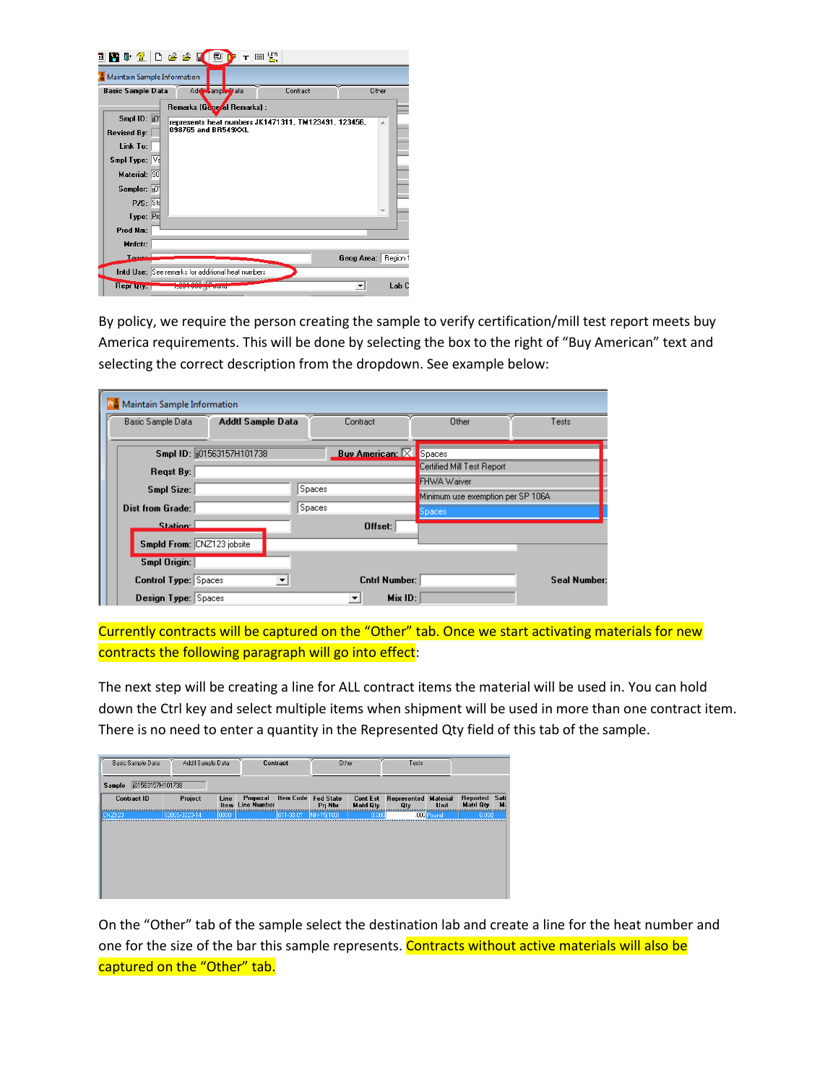| T                           |                                                   | ⊤ ା ≍ୁ                                               |            |          |
|-----------------------------|---------------------------------------------------|------------------------------------------------------|------------|----------|
| Maintain Sample Information |                                                   |                                                      |            |          |
| <b>Basic Sample Data</b>    | Addit sample Data                                 | Contract                                             |            | Other    |
|                             | Remarks (General Remarks) :                       |                                                      |            |          |
| Smpl ID: $\overline{10}$    |                                                   | represents heat numbers JK1471311, TM123491, 123456, |            | A.       |
| <b>Revised By:</b>          | 098765 and BR549XXL                               |                                                      |            |          |
| Link To:                    |                                                   |                                                      |            |          |
| Smpl Type: Ve               |                                                   |                                                      |            |          |
| Material: 90                |                                                   |                                                      |            |          |
| Sampler:  ii01              |                                                   |                                                      |            |          |
| <b>P/S: Ste</b>             |                                                   |                                                      |            |          |
| Type: Pro                   |                                                   |                                                      |            |          |
| Prod Nm:                    |                                                   |                                                      |            |          |
| Mnfctr:                     |                                                   |                                                      |            |          |
| T <sub>rum</sub>            |                                                   |                                                      | Geog Area: | Region 1 |
|                             | Intd Use: See remarks for additional heat numbers |                                                      |            |          |
| <b>Repr Lity.</b>           |                                                   |                                                      |            | Lab C    |

By policy, we require the person creating the sample to verify certification/mill test report meets buy America requirements. This will be done by selecting the box to the right of "Buy American" text and selecting the correct description from the dropdown. See example below:

| Maintain Sample Information |                             |        |                               |                                   |                    |
|-----------------------------|-----------------------------|--------|-------------------------------|-----------------------------------|--------------------|
| Basic Sample Data           | Addtl Sample Data           |        | Contract                      | Other                             | Tests              |
|                             |                             |        |                               |                                   |                    |
|                             | Smpl ID: [[01563157H101738] |        | <b>Buv American: X Spaces</b> |                                   |                    |
| Regst By:                   |                             |        |                               | Certified Mill Test Report        |                    |
|                             |                             | Spaces |                               | FHWA Waiver                       |                    |
| Smpl Size:                  |                             |        |                               | Minimum use exemption per SP 106A |                    |
| <b>Dist from Grade:</b>     |                             | Spaces |                               | Spaces                            |                    |
| Station:                    |                             |        | Offset:                       |                                   |                    |
|                             | Smpld From: CNZ123 jobsite  |        |                               |                                   |                    |
| <b>Smpl Origin:</b>         |                             |        |                               |                                   |                    |
| <b>Control Type: Spaces</b> | $\blacktriangledown$        |        | <b>Cntrl Number:</b>          |                                   | <b>Seal Number</b> |
| Design Type: Spaces         |                             |        | Mix ID:                       |                                   |                    |

Currently contracts will be captured on the "Other" tab. Once we start activating materials for new contracts the following paragraph will go into effect:

The next step will be creating a line for ALL contract items the material will be used in. You can hold down the Ctrl key and select multiple items when shipment will be used in more than one contract item. There is no need to enter a quantity in the Represented Qty field of this tab of the sample.

|                    | Basic Sample Data | Addtl Sample Data   | <b>Contract</b>                |                     | Other      |                  | Tests                                       |              |                                   |   |
|--------------------|-------------------|---------------------|--------------------------------|---------------------|------------|------------------|---------------------------------------------|--------------|-----------------------------------|---|
| Sample             | j01563157H101738  |                     |                                |                     |            |                  |                                             |              |                                   |   |
| <b>Contract ID</b> | Project           | Line<br><b>Item</b> | Proposal<br><b>Line Number</b> | Item Code Fed State | Pri Nbr    | <b>Matri Qtv</b> | <b>Cont Est</b> Represented Material<br>Qty | Unit         | Reported Sati<br><b>Matri Qtv</b> | м |
| <b>CNZ123</b>      | 52005-3223-14     | 0800                |                                | 611-38.01           | NH-15(103) | 0.000            |                                             | $.000$ Pound | 0.000                             |   |

On the "Other" tab of the sample select the destination lab and create a line for the heat number and one for the size of the bar this sample represents. Contracts without active materials will also be captured on the "Other" tab.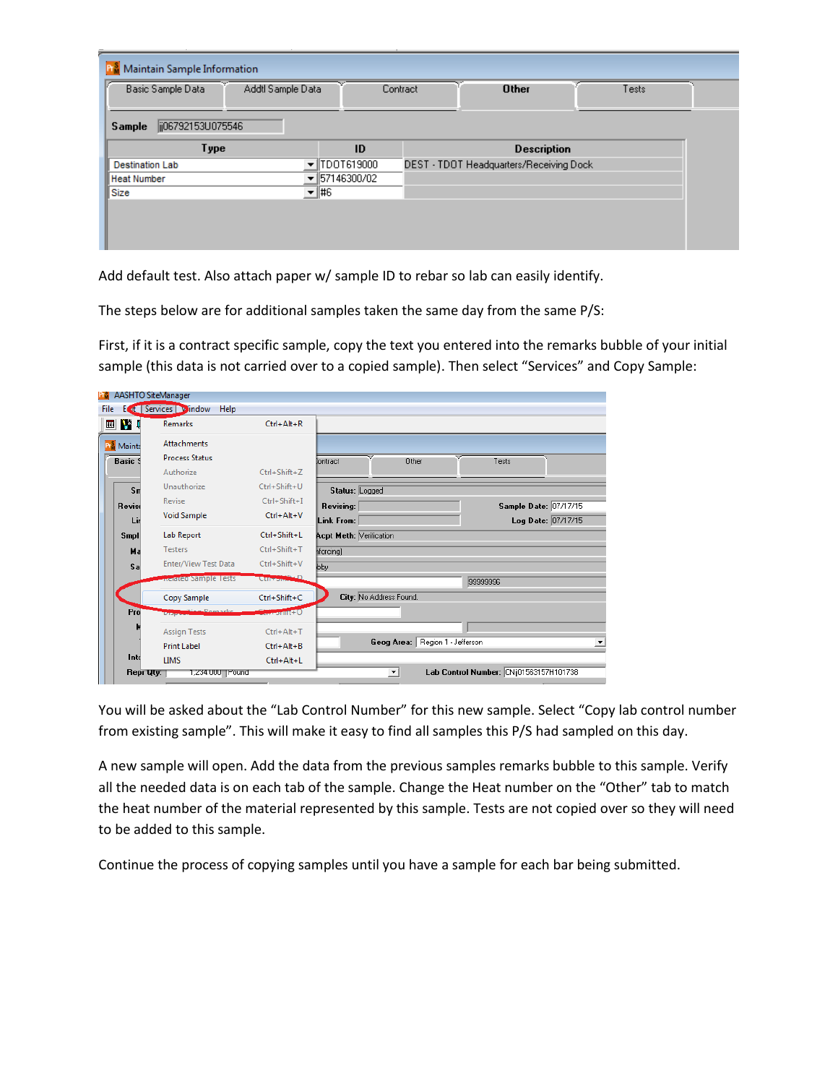| Ρů<br>Maintain Sample Information      |                                  |                                         |       |
|----------------------------------------|----------------------------------|-----------------------------------------|-------|
| Basic Sample Data<br>Addtl Sample Data | Contract                         | <b>Other</b>                            | Tests |
| ij06792153U075546<br>Sample            |                                  |                                         |       |
| Type                                   | ID                               | <b>Description</b>                      |       |
| <b>Destination Lab</b>                 | TDOT619000                       | DEST - TDOT Headquarters/Receiving Dock |       |
| <b>Heat Number</b>                     | $\blacktriangledown$ 57146300/02 |                                         |       |
| Size                                   | ▼ #6                             |                                         |       |
|                                        |                                  |                                         |       |
|                                        |                                  |                                         |       |
|                                        |                                  |                                         |       |

Add default test. Also attach paper w/ sample ID to rebar so lab can easily identify.

The steps below are for additional samples taken the same day from the same P/S:

First, if it is a contract specific sample, copy the text you entered into the remarks bubble of your initial sample (this data is not carried over to a copied sample). Then select "Services" and Copy Sample:

| File<br>Е                     | <b>AASHTO SiteManager</b><br>ut Services vindow<br>Help |                                       |                                              |
|-------------------------------|---------------------------------------------------------|---------------------------------------|----------------------------------------------|
| 画野』                           | <b>Remarks</b>                                          | $Ctrl + Alt + R$                      |                                              |
| <b>Pr</b> <sup>S</sup> Mainta | <b>Attachments</b>                                      |                                       |                                              |
| <b>Basic 9</b>                | <b>Process Status</b>                                   |                                       | Other<br>Iontract<br>Tests                   |
|                               | Authorize                                               | Ctrl+Shift+Z                          |                                              |
| $S_{\rm II}$                  | Unauthorize                                             | Ctrl+Shift+U                          | Status: Logged                               |
| Revise                        | Revise                                                  | Ctrl+Shift+I                          | Sample Date: 07/17/15<br>Revising:           |
| Lir                           | <b>Void Sample</b>                                      | $Ctrl + Alt + V$                      | Log Date: 07/17/15<br>Link From:             |
| <b>Smpl</b>                   | Lab Report                                              | Ctrl+Shift+L                          | <b>Acpt Meth: Verification</b>               |
| Ma                            | Testers                                                 | Ctrl+Shift+T                          | hforcing)                                    |
| Sa                            | Enter/View Test Data                                    | Ctrl+Shift+V                          | bby                                          |
|                               | Related Sample Tests                                    | Curronal D                            | 99999996                                     |
|                               | Copy Sample                                             | Ctrl+Shift+C                          | City: No Address Found.                      |
| Pro                           | Disposition Personal                                    | $C_{\text{max}}$ and $C_{\text{max}}$ |                                              |
|                               | <b>Assign Tests</b>                                     | $Ctrl + Alt + T$                      |                                              |
|                               | <b>Print Label</b>                                      | $Ctrl + Alt + B$                      | Geog Area: Region 1 - Jefferson              |
| Into                          | <b>LIMS</b>                                             | $Ctrl + Alt + L$                      |                                              |
| Repr Uty:                     | 1,234.000 Pound                                         |                                       | Lab Control Number: CNij01563157H101738<br>▾ |

You will be asked about the "Lab Control Number" for this new sample. Select "Copy lab control number from existing sample". This will make it easy to find all samples this P/S had sampled on this day.

A new sample will open. Add the data from the previous samples remarks bubble to this sample. Verify all the needed data is on each tab of the sample. Change the Heat number on the "Other" tab to match the heat number of the material represented by this sample. Tests are not copied over so they will need to be added to this sample.

Continue the process of copying samples until you have a sample for each bar being submitted.